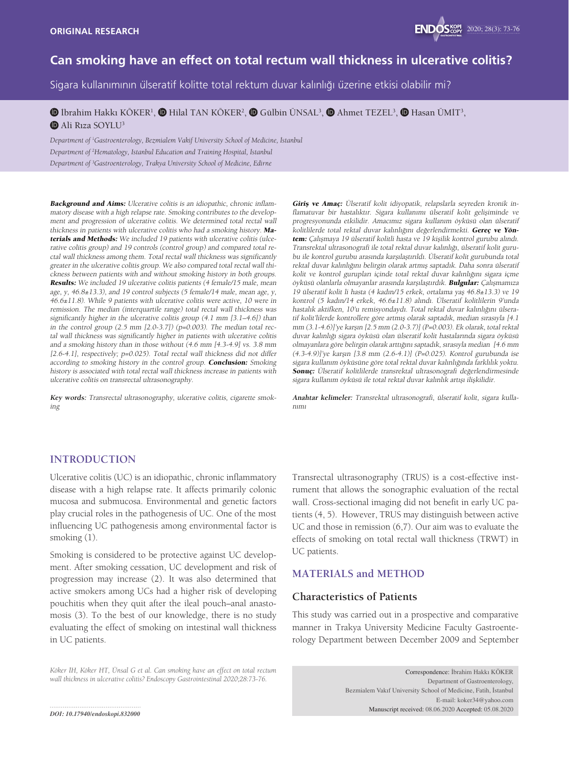

# **Can smoking have an effect on total rectum wall thickness in ulcerative colitis?**

Sigara kullanımının ülseratif kolitte total rektum duvar kalınlığı üzerine etkisi olabilir mi?

## $\bm{\mathbb{D}}$  İbrahim Hakkı KÖKER<sup>ı</sup>,  $\bm{\mathbb{O}}$  Hilal TAN KÖKER<sup>2</sup>,  $\bm{\mathbb{O}}$  Gülbin ÜNSAL<sup>3</sup>,  $\bm{\mathbb{O}}$  Ahmet TEZEL<sup>3</sup>,  $\bm{\mathbb{O}}$  Hasan ÜMİT<sup>3</sup>, **D** Ali Rıza SOYLU<sup>3</sup>

*Department of <sup>1</sup> Gastroenterology, Bezmialem Vakif University School of Medicine, İstanbul Department of 2 Hematology, Istanbul Education and Training Hospital, İstanbul Department of 3 Gastroenterology, Trakya University School of Medicine, Edirne*

Background and Aims: Ulcerative colitis is an idiopathic, chronic inflammatory disease with a high relapse rate. Smoking contributes to the development and progression of ulcerative colitis. We determined total rectal wall thickness in patients with ulcerative colitis who had a smoking history. Materials and Methods: We included 19 patients with ulcerative colitis (ulcerative colitis group) and 19 controls (control group) and compared total rectal wall thickness among them. Total rectal wall thickness was significantly greater in the ulcerative colitis group. We also compared total rectal wall thickness between patients with and without smoking history in both groups. Results: We included 19 ulcerative colitis patients (4 female/15 male, mean age, y, 46.8±13.3), and 19 control subjects (5 female/14 male, mean age, y, 46.6±11.8). While 9 patients with ulcerative colitis were active, 10 were in remission. The median (interquartile range) total rectal wall thickness was significantly higher in the ulcerative colitis group (4.1 mm [3.1–4.6]) than in the control group  $(2.5 \text{ mm } [2.0-3.7])$   $(p=0.003)$ . The median total rectal wall thickness was significantly higher in patients with ulcerative colitis and a smoking history than in those without (4.6 mm [4.3-4.9] vs. 3.8 mm [2.6-4.1], respectively; p=0.025). Total rectal wall thickness did not differ according to smoking history in the control group. Conclusion: Smoking history is associated with total rectal wall thickness increase in patients with ulcerative colitis on transrectal ultrasonography.

**Key words:** Transrectal ultrasonography, ulcerative colitis, cigarette smoking

Giriş ve Amaç: Ülseratif kolit idiyopatik, relapslarla seyreden kronik inflamatuvar bir hastalıktır. Sigara kullanımı ülseratif kolit gelişiminde ve progresyonunda etkilidir. Amacımız sigara kullanım öyküsü olan ülseratif kolitlilerde total rektal duvar kalınlığını değerlendirmekti. Gereç ve Yöntem: Çalışmaya 19 ülseratif kolitli hasta ve 19 kişilik kontrol gurubu alındı. Transrektal ultrasonografi ile total rektal duvar kalınlığı, ülseratif kolit gurubu ile kontrol gurubu arasında karşılaştırıldı. Ülseratif kolit gurubunda total rektal duvar kalınlığını belirgin olarak artmış saptadık. Daha sonra ülseratif kolit ve kontrol gurupları içinde total rektal duvar kalınlığını sigara içme öyküsü olanlarla olmayanlar arasında karşılaştırdık. Bulgular: Çalışmamıza 19 ülseratif kolit li hasta (4 kadın/15 erkek, ortalama yaş 46.8±13.3) ve 19 kontrol (5 kadın/14 erkek, 46.6±11.8) alındı. Ülseratif kolitlilerin 9'unda hastalık aktifken, 10'u remisyondaydı. Total rektal duvar kalınlığını ülseratif kolit'lilerde kontrollere göre artmış olarak saptadık, median sırasıyla [4.1 mm (3.1-4.6)]'ye karşın [2.5 mm (2.0-3.7)] (P=0.003). Ek olarak, total rektal duvar kalınlığı sigara öyküsü olan ülseratif kolit hastalarında sigara öyküsü olmayanlara göre belirgin olarak arttığını saptadık, sırasıyla median [4.6 mm (4.3-4.9)]'ye karşın [3.8 mm (2.6-4.1)] (P=0.025). Kontrol gurubunda ise sigara kullanım öyküsüne göre total rektal duvar kalınlığında farklılık yoktu. Sonuç: Ülseratif kolitlilerde transrektal ultrasonografi değerlendirmesinde sigara kullanım öyküsü ile total rektal duvar kalınlık artışı ilişkilidir.

**Anahtar kelimeler:** Transrektal ultrasonografi, ülseratif kolit, sigara kullanımı

## **INTRODUCTION**

Ulcerative colitis (UC) is an idiopathic, chronic inflammatory disease with a high relapse rate. It affects primarily colonic mucosa and submucosa. Environmental and genetic factors play crucial roles in the pathogenesis of UC. One of the most influencing UC pathogenesis among environmental factor is smoking (1).

Smoking is considered to be protective against UC development. After smoking cessation, UC development and risk of progression may increase (2). It was also determined that active smokers among UCs had a higher risk of developing pouchitis when they quit after the ileal pouch–anal anastomosis (3). To the best of our knowledge, there is no study evaluating the effect of smoking on intestinal wall thickness in UC patients.

Transrectal ultrasonography (TRUS) is a cost-effective instrument that allows the sonographic evaluation of the rectal wall. Cross-sectional imaging did not benefit in early UC patients (4, 5). However, TRUS may distinguish between active UC and those in remission (6,7). Our aim was to evaluate the effects of smoking on total rectal wall thickness (TRWT) in UC patients.

# **MATERIALS and METHOD**

#### **Characteristics of Patients**

This study was carried out in a prospective and comparative manner in Trakya University Medicine Faculty Gastroenterology Department between December 2009 and September

*Köker İH, Köker HT, Ünsal G et al. Can smoking have an effect on total rectum wall thickness in ulcerative colitis? Endoscopy Gastrointestinal 2020;28:73-76.*

Correspondence: İbrahim Hakkı KÖKER Department of Gastroenterology, Bezmialem Vakıf University School of Medicine, Fatih, İstanbul E-mail: koker34@yahoo.com Manuscript received: 08.06.2020 Accepted: 05.08.2020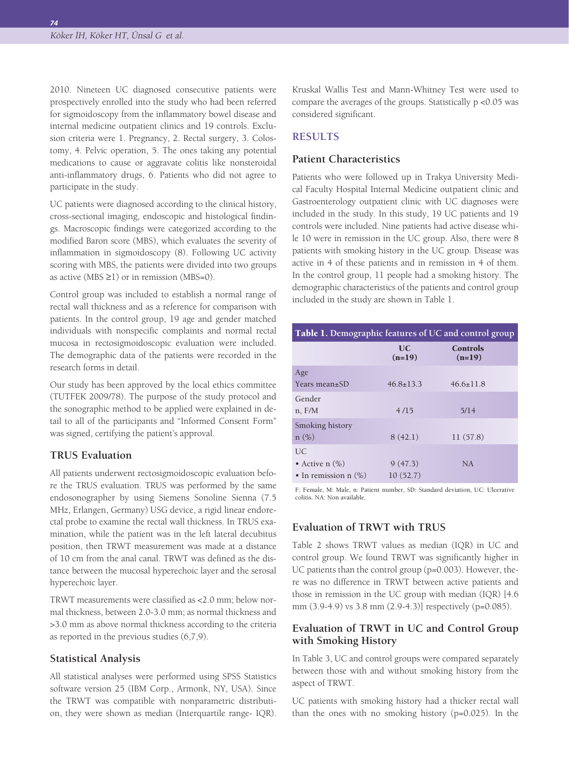*74*

2010. Nineteen UC diagnosed consecutive patients were prospectively enrolled into the study who had been referred for sigmoidoscopy from the inflammatory bowel disease and internal medicine outpatient clinics and 19 controls. Exclusion criteria were 1. Pregnancy, 2. Rectal surgery, 3. Colostomy, 4. Pelvic operation, 5. The ones taking any potential medications to cause or aggravate colitis like nonsteroidal anti-inflammatory drugs, 6. Patients who did not agree to participate in the study.

UC patients were diagnosed according to the clinical history, cross-sectional imaging, endoscopic and histological findings. Macroscopic findings were categorized according to the modified Baron score (MBS), which evaluates the severity of inflammation in sigmoidoscopy (8). Following UC activity scoring with MBS, the patients were divided into two groups as active (MBS  $\geq$ 1) or in remission (MBS=0).

Control group was included to establish a normal range of rectal wall thickness and as a reference for comparison with patients. In the control group, 19 age and gender matched individuals with nonspecific complaints and normal rectal mucosa in rectosigmoidoscopic evaluation were included. The demographic data of the patients were recorded in the research forms in detail.

Our study has been approved by the local ethics committee (TUTFEK 2009/78). The purpose of the study protocol and the sonographic method to be applied were explained in detail to all of the participants and "Informed Consent Form" was signed, certifying the patient's approval.

# **TRUS Evaluation**

All patients underwent rectosigmoidoscopic evaluation before the TRUS evaluation. TRUS was performed by the same endosonographer by using Siemens Sonoline Sienna (7.5 MHz, Erlangen, Germany) USG device, a rigid linear endorectal probe to examine the rectal wall thickness. In TRUS examination, while the patient was in the left lateral decubitus position, then TRWT measurement was made at a distance of 10 cm from the anal canal. TRWT was defined as the distance between the mucosal hyperechoic layer and the serosal hyperechoic layer.

TRWT measurements were classified as <2.0 mm; below normal thickness, between 2.0-3.0 mm; as normal thickness and >3.0 mm as above normal thickness according to the criteria as reported in the previous studies (6,7,9).

#### **Statistical Analysis**

All statistical analyses were performed using SPSS Statistics software version 25 (IBM Corp., Armonk, NY, USA). Since the TRWT was compatible with nonparametric distribution, they were shown as median (Interquartile range- IQR). Kruskal Wallis Test and Mann-Whitney Test were used to compare the averages of the groups. Statistically p <0.05 was considered significant.

## **RESULTS**

# **Patient Characteristics**

Patients who were followed up in Trakya University Medical Faculty Hospital Internal Medicine outpatient clinic and Gastroenterology outpatient clinic with UC diagnoses were included in the study. In this study, 19 UC patients and 19 controls were included. Nine patients had active disease while 10 were in remission in the UC group. Also, there were 8 patients with smoking history in the UC group. Disease was active in 4 of these patients and in remission in 4 of them. In the control group, 11 people had a smoking history. The demographic characteristics of the patients and control group included in the study are shown in Table 1.

| Table 1. Demographic features of UC and control group |                     |                             |  |  |
|-------------------------------------------------------|---------------------|-----------------------------|--|--|
|                                                       | UC<br>$(n=19)$      | <b>Controls</b><br>$(n=19)$ |  |  |
| Age<br>Years mean+SD                                  | $46.8 + 13.3$       | $46.6 + 11.8$               |  |  |
| Gender<br>$n.$ F/M                                    | 4/15                | 5/14                        |  |  |
| Smoking history<br>$n (\%)$                           | 8(42.1)             | 11(57.8)                    |  |  |
| UC.<br>• Active $n$ (%)<br>• In remission $n$ $(\%)$  | 9(47.3)<br>10(52.7) | NA.                         |  |  |

F: Female, M: Male, n: Patient number, SD: Standard deviation, UC: Ulcerative colitis. NA: Non available.

## **Evaluation of TRWT with TRUS**

Table 2 shows TRWT values as median (IQR) in UC and control group. We found TRWT was significantly higher in UC patients than the control group (p=0.003). However, there was no difference in TRWT between active patients and those in remission in the UC group with median (IQR) [4.6 mm (3.9-4.9) vs 3.8 mm (2.9-4.3)] respectively (p=0.085).

# **Evaluation of TRWT in UC and Control Group with Smoking History**

In Table 3, UC and control groups were compared separately between those with and without smoking history from the aspect of TRWT.

UC patients with smoking history had a thicker rectal wall than the ones with no smoking history (p=0.025). In the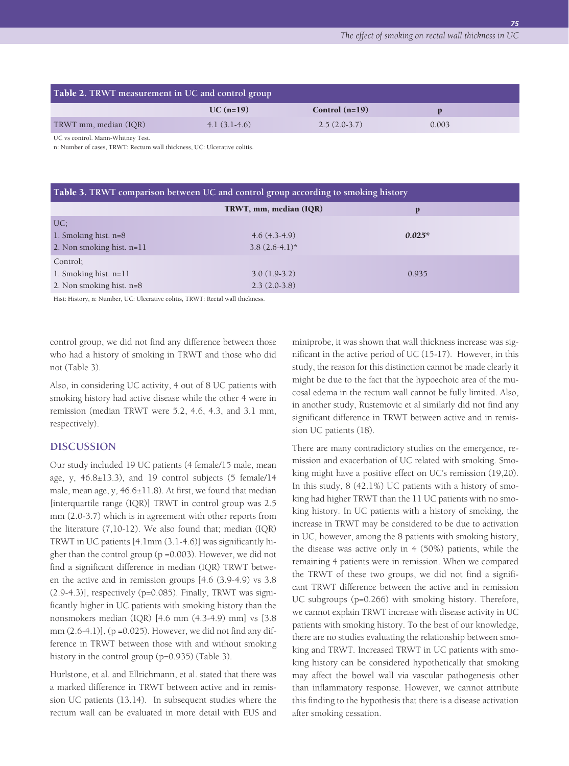*75*

| <b>Table 2. TRWT</b> measurement in UC and control group |                |                  |       |  |  |
|----------------------------------------------------------|----------------|------------------|-------|--|--|
|                                                          | $UC (n=19)$    | Control $(n=19)$ |       |  |  |
| TRWT mm, median (IQR)                                    | $4.1(3.1-4.6)$ | $2.5(2.0-3.7)$   | 0.003 |  |  |

UC vs control. Mann-Whitney Test.

n: Number of cases, TRWT: Rectum wall thickness, UC: Ulcerative colitis.

| <b>Table 3. TRWT comparison between UC and control group according to smoking history</b> |                                      |          |  |  |
|-------------------------------------------------------------------------------------------|--------------------------------------|----------|--|--|
|                                                                                           | TRWT, mm, median (IQR)               | P        |  |  |
| UC:<br>1. Smoking hist. $n=8$<br>2. Non smoking hist. n=11                                | $4.6(4.3-4.9)$<br>$3.8(2.6-4.1)^{*}$ | $0.025*$ |  |  |
| Control;<br>1. Smoking hist. $n=11$<br>2. Non smoking hist. n=8                           | $3.0(1.9-3.2)$<br>$2.3(2.0-3.8)$     | 0.935    |  |  |

Hist: History, n: Number, UC: Ulcerative colitis, TRWT: Rectal wall thickness.

control group, we did not find any difference between those who had a history of smoking in TRWT and those who did not (Table 3).

Also, in considering UC activity, 4 out of 8 UC patients with smoking history had active disease while the other 4 were in remission (median TRWT were 5.2, 4.6, 4.3, and 3.1 mm, respectively).

#### **DISCUSSION**

Our study included 19 UC patients (4 female/15 male, mean age, y, 46.8±13.3), and 19 control subjects (5 female/14 male, mean age, y, 46.6±11.8). At first, we found that median [interquartile range (IQR)] TRWT in control group was 2.5 mm (2.0-3.7) which is in agreement with other reports from the literature (7,10-12). We also found that; median (IQR) TRWT in UC patients [4.1mm (3.1-4.6)] was significantly higher than the control group (p =0.003). However, we did not find a significant difference in median (IQR) TRWT between the active and in remission groups [4.6 (3.9-4.9) vs 3.8 (2.9-4.3)], respectively (p=0.085). Finally, TRWT was significantly higher in UC patients with smoking history than the nonsmokers median (IQR) [4.6 mm (4.3-4.9) mm] vs [3.8 mm (2.6-4.1)], (p =0.025). However, we did not find any difference in TRWT between those with and without smoking history in the control group (p=0.935) (Table 3).

Hurlstone, et al. and Ellrichmann, et al. stated that there was a marked difference in TRWT between active and in remission UC patients (13,14). In subsequent studies where the rectum wall can be evaluated in more detail with EUS and

miniprobe, it was shown that wall thickness increase was significant in the active period of UC (15-17). However, in this study, the reason for this distinction cannot be made clearly it might be due to the fact that the hypoechoic area of the mucosal edema in the rectum wall cannot be fully limited. Also, in another study, Rustemovic et al similarly did not find any significant difference in TRWT between active and in remission UC patients (18).

There are many contradictory studies on the emergence, remission and exacerbation of UC related with smoking. Smoking might have a positive effect on UC's remission (19,20). In this study, 8 (42.1%) UC patients with a history of smoking had higher TRWT than the 11 UC patients with no smoking history. In UC patients with a history of smoking, the increase in TRWT may be considered to be due to activation in UC, however, among the 8 patients with smoking history, the disease was active only in 4 (50%) patients, while the remaining 4 patients were in remission. When we compared the TRWT of these two groups, we did not find a significant TRWT difference between the active and in remission UC subgroups (p=0.266) with smoking history. Therefore, we cannot explain TRWT increase with disease activity in UC patients with smoking history. To the best of our knowledge, there are no studies evaluating the relationship between smoking and TRWT. Increased TRWT in UC patients with smoking history can be considered hypothetically that smoking may affect the bowel wall via vascular pathogenesis other than inflammatory response. However, we cannot attribute this finding to the hypothesis that there is a disease activation after smoking cessation.